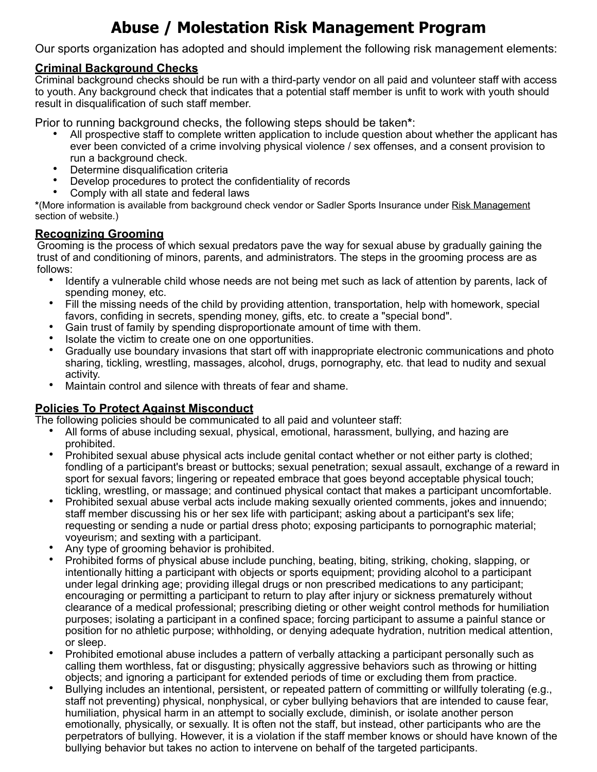# **Abuse / Molestation Risk Management Program**

Our sports organization has adopted and should implement the following risk management elements:

## **Criminal Background Checks**

Criminal background checks should be run with a third-party vendor on all paid and volunteer staff with access to youth. Any background check that indicates that a potential staff member is unfit to work with youth should result in disqualification of such staff member.

Prior to running background checks, the following steps should be taken**\***:

- All prospective staff to complete written application to include question about whether the applicant has ever been convicted of a crime involving physical violence / sex offenses, and a consent provision to run a background check.
- Determine disqualification criteria
- Develop procedures to protect the confidentiality of records
- Comply with all state and federal laws

**\***(More information is available from background check vendor or Sadler Sports Insurance under Risk Management section of website.)

## **Recognizing Grooming**

Grooming is the process of which sexual predators pave the way for sexual abuse by gradually gaining the trust of and conditioning of minors, parents, and administrators. The steps in the grooming process are as follows:

- Identify a vulnerable child whose needs are not being met such as lack of attention by parents, lack of spending money, etc.
- Fill the missing needs of the child by providing attention, transportation, help with homework, special favors, confiding in secrets, spending money, gifts, etc. to create a "special bond".
- Gain trust of family by spending disproportionate amount of time with them.
- Isolate the victim to create one on one opportunities.
- Gradually use boundary invasions that start off with inappropriate electronic communications and photo sharing, tickling, wrestling, massages, alcohol, drugs, pornography, etc. that lead to nudity and sexual activity.
- Maintain control and silence with threats of fear and shame.

# **Policies To Protect Against Misconduct**

The following policies should be communicated to all paid and volunteer staff:

- All forms of abuse including sexual, physical, emotional, harassment, bullying, and hazing are prohibited.
- Prohibited sexual abuse physical acts include genital contact whether or not either party is clothed; fondling of a participant's breast or buttocks; sexual penetration; sexual assault, exchange of a reward in sport for sexual favors; lingering or repeated embrace that goes beyond acceptable physical touch; tickling, wrestling, or massage; and continued physical contact that makes a participant uncomfortable.
- Prohibited sexual abuse verbal acts include making sexually oriented comments, jokes and innuendo; staff member discussing his or her sex life with participant; asking about a participant's sex life; requesting or sending a nude or partial dress photo; exposing participants to pornographic material; voyeurism; and sexting with a participant.
- Any type of grooming behavior is prohibited.
- Prohibited forms of physical abuse include punching, beating, biting, striking, choking, slapping, or intentionally hitting a participant with objects or sports equipment; providing alcohol to a participant under legal drinking age; providing illegal drugs or non prescribed medications to any participant; encouraging or permitting a participant to return to play after injury or sickness prematurely without clearance of a medical professional; prescribing dieting or other weight control methods for humiliation purposes; isolating a participant in a confined space; forcing participant to assume a painful stance or position for no athletic purpose; withholding, or denying adequate hydration, nutrition medical attention, or sleep.
- Prohibited emotional abuse includes a pattern of verbally attacking a participant personally such as calling them worthless, fat or disgusting; physically aggressive behaviors such as throwing or hitting objects; and ignoring a participant for extended periods of time or excluding them from practice.
- Bullying includes an intentional, persistent, or repeated pattern of committing or willfully tolerating (e.g., staff not preventing) physical, nonphysical, or cyber bullying behaviors that are intended to cause fear, humiliation, physical harm in an attempt to socially exclude, diminish, or isolate another person emotionally, physically, or sexually. It is often not the staff, but instead, other participants who are the perpetrators of bullying. However, it is a violation if the staff member knows or should have known of the bullying behavior but takes no action to intervene on behalf of the targeted participants.